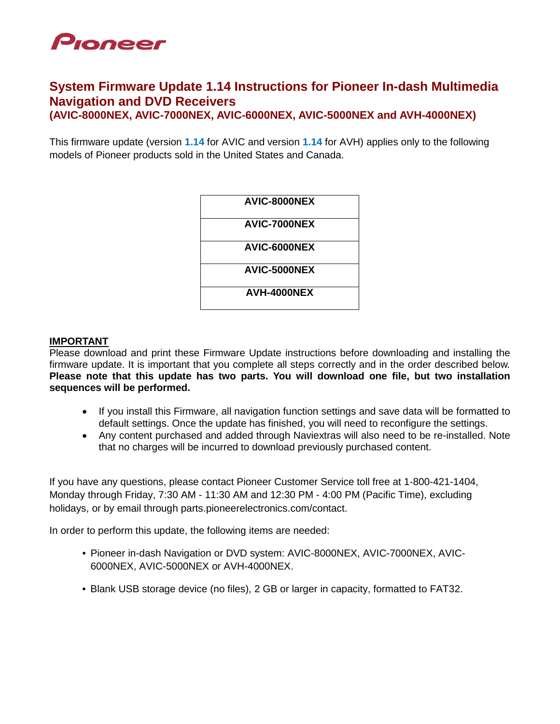

### **System Firmware Update 1.14 Instructions for Pioneer In-dash Multimedia Navigation and DVD Receivers (AVIC-8000NEX, AVIC-7000NEX, AVIC-6000NEX, AVIC-5000NEX and AVH-4000NEX)**

This firmware update (version **1.14** for AVIC and version **1.14** for AVH) applies only to the following models of Pioneer products sold in the United States and Canada.

| AVIC-8000NEX |
|--------------|
| AVIC-7000NEX |
| AVIC-6000NEX |
| AVIC-5000NEX |
| AVH-4000NEX  |

#### **IMPORTANT**

Please download and print these Firmware Update instructions before downloading and installing the firmware update. It is important that you complete all steps correctly and in the order described below. **Please note that this update has two parts. You will download one file, but two installation sequences will be performed.**

- If you install this Firmware, all navigation function settings and save data will be formatted to default settings. Once the update has finished, you will need to reconfigure the settings.
- Any content purchased and added through Naviextras will also need to be re-installed. Note that no charges will be incurred to download previously purchased content.

If you have any questions, please contact Pioneer Customer Service toll free at 1-800-421-1404, Monday through Friday, 7:30 AM - 11:30 AM and 12:30 PM - 4:00 PM (Pacific Time), excluding holidays, or by email through parts.pioneerelectronics.com/contact.

In order to perform this update, the following items are needed:

- Pioneer in-dash Navigation or DVD system: AVIC-8000NEX, AVIC-7000NEX, AVIC-6000NEX, AVIC-5000NEX or AVH-4000NEX.
- Blank USB storage device (no files), 2 GB or larger in capacity, formatted to FAT32.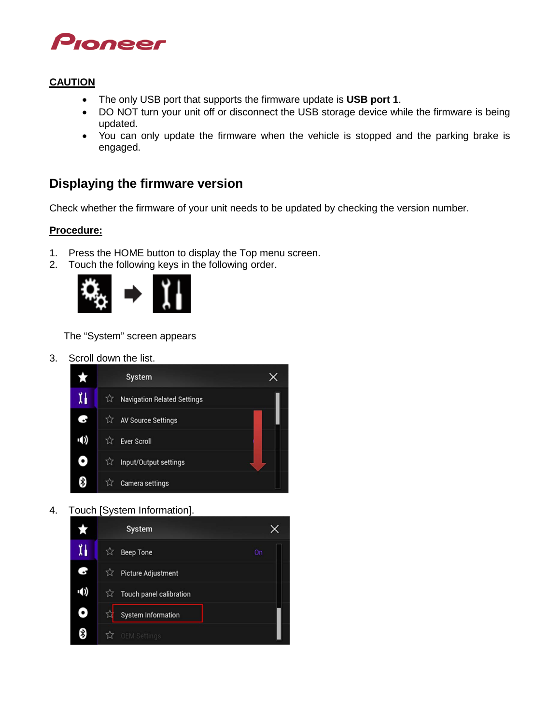

### **CAUTION**

- The only USB port that supports the firmware update is **USB port 1**.
- DO NOT turn your unit off or disconnect the USB storage device while the firmware is being updated.
- You can only update the firmware when the vehicle is stopped and the parking brake is engaged.

## **Displaying the firmware version**

Check whether the firmware of your unit needs to be updated by checking the version number.

### **Procedure:**

- 1. Press the HOME button to display the Top menu screen.
- 2. Touch the following keys in the following order.



The "System" screen appears

3. Scroll down the list.



4. Touch [System Information].

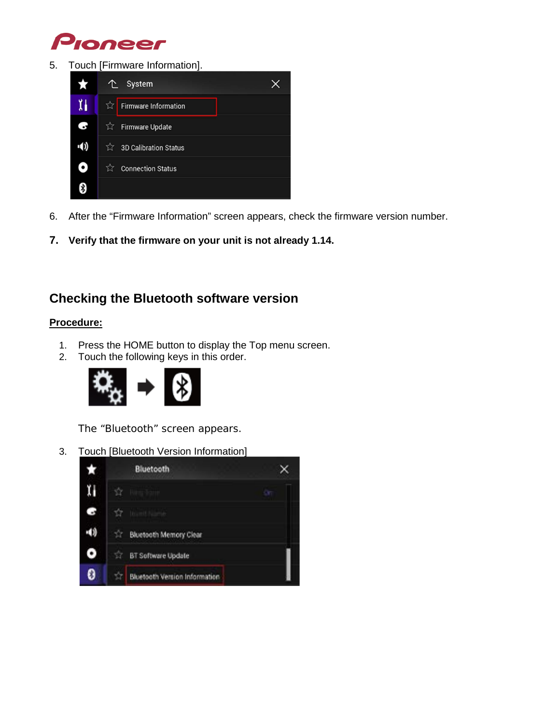

5. Touch [Firmware Information].



- 6. After the "Firmware Information" screen appears, check the firmware version number.
- **7. Verify that the firmware on your unit is not already 1.14.**

# **Checking the Bluetooth software version**

### **Procedure:**

- 1. Press the HOME button to display the Top menu screen.
- 2. Touch the following keys in this order.



The "Bluetooth" screen appears.

3. Touch [Bluetooth Version Information]

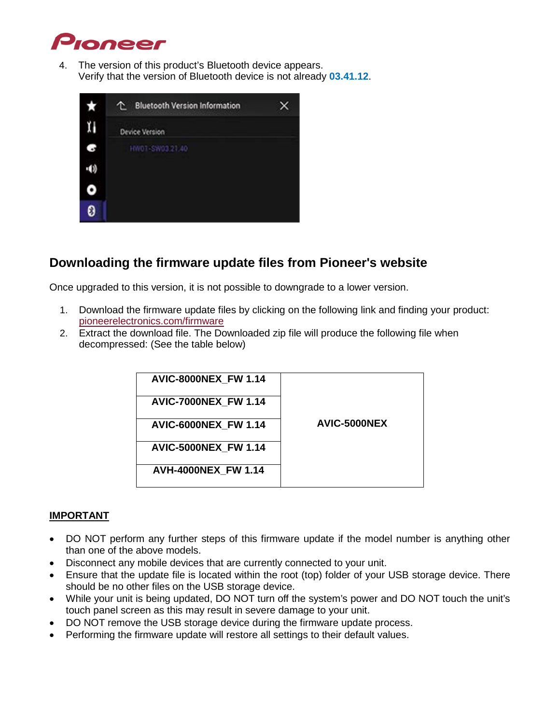

4. The version of this product's Bluetooth device appears. Verify that the version of Bluetooth device is not already **03.41.12**.

| ★            | ෑ<br><b>Bluetooth Version Information</b> |  |
|--------------|-------------------------------------------|--|
|              | Device Version                            |  |
| $\mathbb{G}$ | HW01-SW03.21.40                           |  |
| -11)         |                                           |  |
| ٥            |                                           |  |
| 0            |                                           |  |

# **Downloading the firmware update files from Pioneer's website**

Once upgraded to this version, it is not possible to downgrade to a lower version.

- 1. Download the firmware update files by clicking on the following link and finding your product: [pioneerelectronics.com/firmware](http://www.pioneerelectronics.com/firmware)
- 2. Extract the download file. The Downloaded zip file will produce the following file when decompressed: (See the table below)

| <b>AVIC-8000NEX FW 1.14</b> |              |
|-----------------------------|--------------|
| <b>AVIC-7000NEX FW 1.14</b> |              |
| <b>AVIC-6000NEX FW 1.14</b> | AVIC-5000NEX |
| <b>AVIC-5000NEX FW 1.14</b> |              |
| <b>AVH-4000NEX FW 1.14</b>  |              |

### **IMPORTANT**

- DO NOT perform any further steps of this firmware update if the model number is anything other than one of the above models.
- Disconnect any mobile devices that are currently connected to your unit.
- Ensure that the update file is located within the root (top) folder of your USB storage device. There should be no other files on the USB storage device.
- While your unit is being updated, DO NOT turn off the system's power and DO NOT touch the unit's touch panel screen as this may result in severe damage to your unit.
- DO NOT remove the USB storage device during the firmware update process.
- Performing the firmware update will restore all settings to their default values.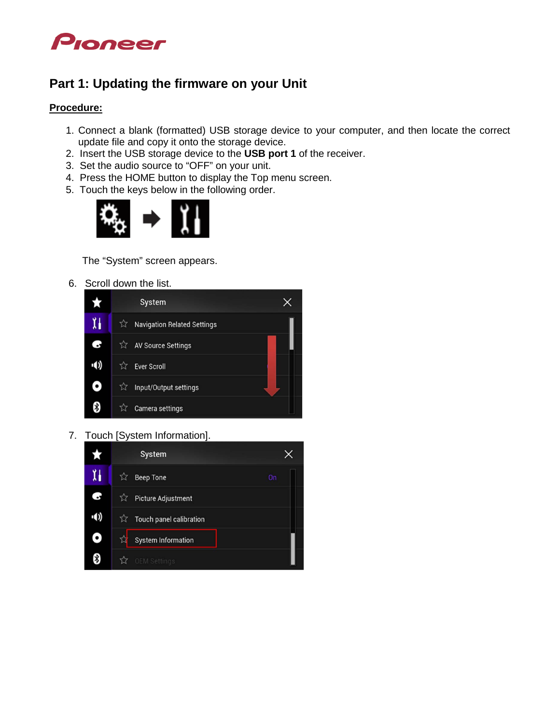

# **Part 1: Updating the firmware on your Unit**

### **Procedure:**

- 1. Connect a blank (formatted) USB storage device to your computer, and then locate the correct update file and copy it onto the storage device.
- 2. Insert the USB storage device to the **USB port 1** of the receiver.
- 3. Set the audio source to "OFF" on your unit.
- 4. Press the HOME button to display the Top menu screen.
- 5. Touch the keys below in the following order.



The "System" screen appears.

6. Scroll down the list.



7. Touch [System Information].

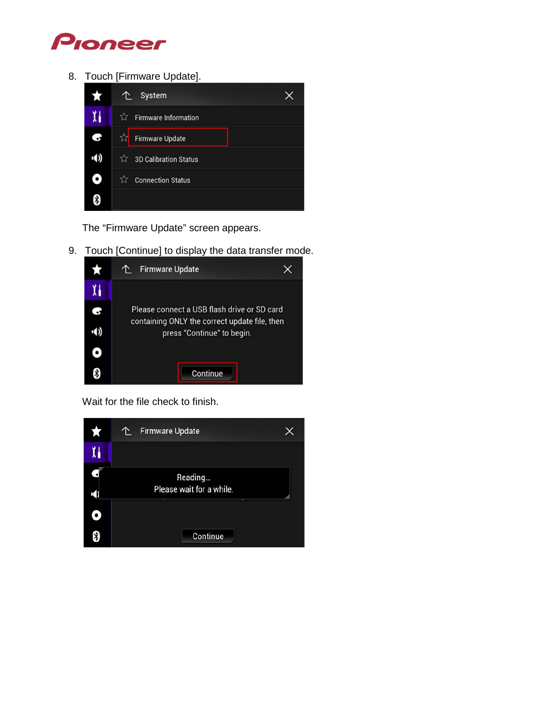

8. Touch [Firmware Update].



The "Firmware Update" screen appears.

9. Touch [Continue] to display the data transfer mode.



Wait for the file check to finish.

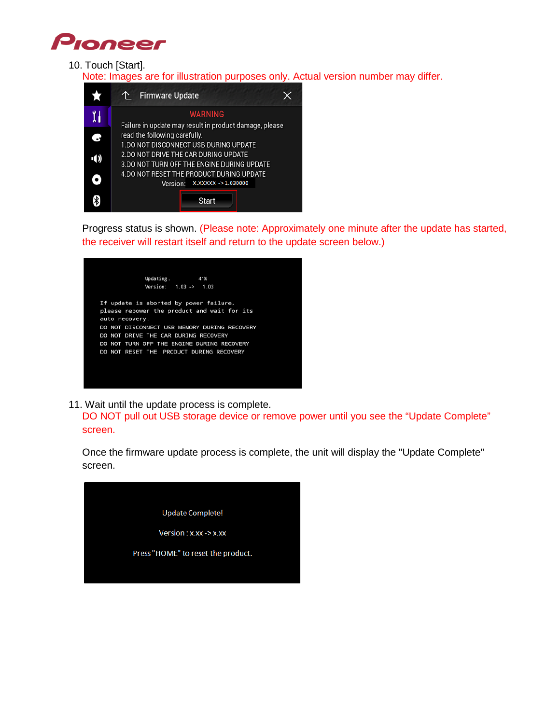

#### 10. Touch [Start].

Note: Images are for illustration purposes only. Actual version number may differ.



Progress status is shown. (Please note: Approximately one minute after the update has started, the receiver will restart itself and return to the update screen below.)

| Updating.<br>41%                                                                      |
|---------------------------------------------------------------------------------------|
| Version: $1.03 \rightarrow 1.03$                                                      |
| If update is aborted by power failure,<br>please repower the product and wait for its |
| auto recovery.                                                                        |
| DO NOT DISCONNECT USB MEMORY DURING RECOVERY                                          |
| DO NOT DRIVE THE CAR DURING RECOVERY                                                  |
| DO NOT TURN OFF THE ENGINE DURING RECOVERY                                            |
| DO NOT RESET THE PRODUCT DURING RECOVERY                                              |
|                                                                                       |
|                                                                                       |
|                                                                                       |
|                                                                                       |

11. Wait until the update process is complete.

DO NOT pull out USB storage device or remove power until you see the "Update Complete" screen.

Once the firmware update process is complete, the unit will display the "Update Complete" screen.

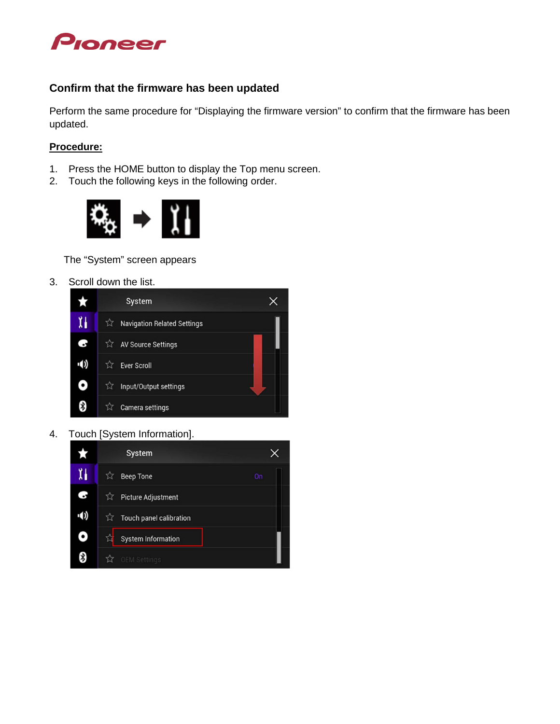

### **Confirm that the firmware has been updated**

Perform the same procedure for "Displaying the firmware version" to confirm that the firmware has been updated.

### **Procedure:**

- 1. Press the HOME button to display the Top menu screen.
- 2. Touch the following keys in the following order.



The "System" screen appears

3. Scroll down the list.



4. Touch [System Information].

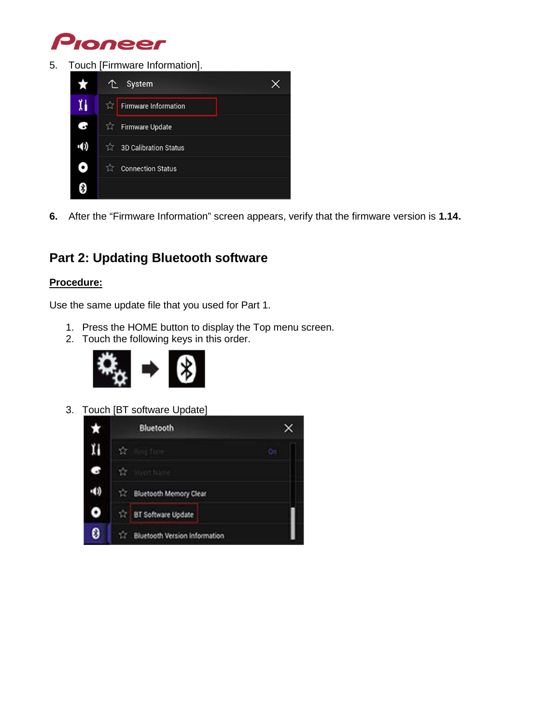

5. Touch [Firmware Information].



**6.** After the "Firmware Information" screen appears, verify that the firmware version is **1.14.**

# **Part 2: Updating Bluetooth software**

### **Procedure:**

Use the same update file that you used for Part 1.

- 1. Press the HOME button to display the Top menu screen.
- 2. Touch the following keys in this order.



3. Touch [BT software Update]